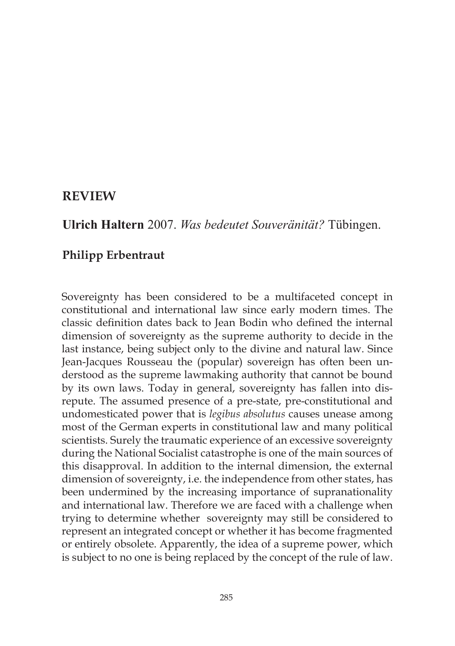# **REVIEW**

**Ulrich Haltern** 2007. *Was bedeutet Souveränität?* Tübingen.

# **Philipp Erbentraut**

Sovereignty has been considered to be a multifaceted concept in constitutional and international law since early modern times. The classic definition dates back to Jean Bodin who defined the internal dimension of sovereignty as the supreme authority to decide in the last instance, being subject only to the divine and natural law. Since Jean-Jacques Rousseau the (popular) sovereign has often been understood as the supreme lawmaking authority that cannot be bound by its own laws. Today in general, sovereignty has fallen into disrepute. The assumed presence of a pre-state, pre-constitutional and undomesticated power that is *legibus absolutus* causes unease among most of the German experts in constitutional law and many political scientists. Surely the traumatic experience of an excessive sovereignty during the National Socialist catastrophe is one of the main sources of this disapproval. In addition to the internal dimension, the external dimension of sovereignty, i.e. the independence from other states, has been undermined by the increasing importance of supranationality and international law. Therefore we are faced with a challenge when trying to determine whether sovereignty may still be considered to represent an integrated concept or whether it has become fragmented or entirely obsolete. Apparently, the idea of a supreme power, which is subject to no one is being replaced by the concept of the rule of law.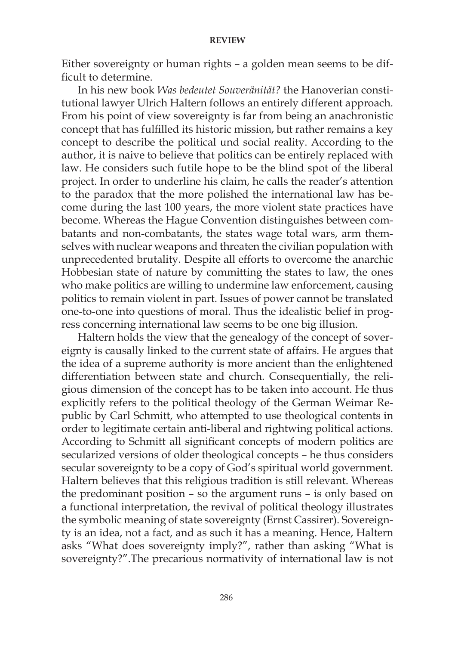## **REVIEW**

Either sovereignty or human rights – a golden mean seems to be difficult to determine.

In his new book *Was bedeutet Souveränität?* the Hanoverian constitutional lawyer Ulrich Haltern follows an entirely different approach. From his point of view sovereignty is far from being an anachronistic concept that has fulfilled its historic mission, but rather remains a key concept to describe the political und social reality. According to the author, it is naive to believe that politics can be entirely replaced with law. He considers such futile hope to be the blind spot of the liberal project. In order to underline his claim, he calls the reader's attention to the paradox that the more polished the international law has become during the last 100 years, the more violent state practices have become. Whereas the Hague Convention distinguishes between combatants and non-combatants, the states wage total wars, arm themselves with nuclear weapons and threaten the civilian population with unprecedented brutality. Despite all efforts to overcome the anarchic Hobbesian state of nature by committing the states to law, the ones who make politics are willing to undermine law enforcement, causing politics to remain violent in part. Issues of power cannot be translated one-to-one into questions of moral. Thus the idealistic belief in progress concerning international law seems to be one big illusion.

Haltern holds the view that the genealogy of the concept of sovereignty is causally linked to the current state of affairs. He argues that the idea of a supreme authority is more ancient than the enlightened differentiation between state and church. Consequentially, the religious dimension of the concept has to be taken into account. He thus explicitly refers to the political theology of the German Weimar Republic by Carl Schmitt, who attempted to use theological contents in order to legitimate certain anti-liberal and rightwing political actions. According to Schmitt all significant concepts of modern politics are secularized versions of older theological concepts – he thus considers secular sovereignty to be a copy of God's spiritual world government. Haltern believes that this religious tradition is still relevant. Whereas the predominant position – so the argument runs – is only based on a functional interpretation, the revival of political theology illustrates the symbolic meaning of state sovereignty (Ernst Cassirer). Sovereignty is an idea, not a fact, and as such it has a meaning. Hence, Haltern asks "What does sovereignty imply?", rather than asking "What is sovereignty?".The precarious normativity of international law is not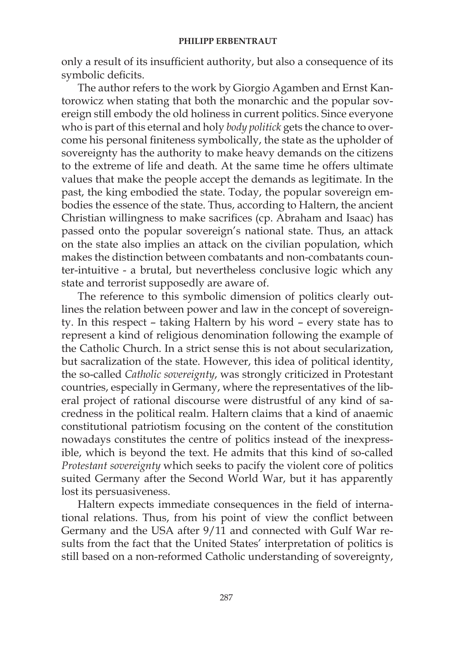only a result of its insufficient authority, but also a consequence of its symbolic deficits.

The author refers to the work by Giorgio Agamben and Ernst Kantorowicz when stating that both the monarchic and the popular sovereign still embody the old holiness in current politics. Since everyone who is part of this eternal and holy *body politick* gets the chance to overcome his personal finiteness symbolically, the state as the upholder of sovereignty has the authority to make heavy demands on the citizens to the extreme of life and death. At the same time he offers ultimate values that make the people accept the demands as legitimate. In the past, the king embodied the state. Today, the popular sovereign embodies the essence of the state. Thus, according to Haltern, the ancient Christian willingness to make sacrifices (cp. Abraham and Isaac) has passed onto the popular sovereign's national state. Thus, an attack on the state also implies an attack on the civilian population, which makes the distinction between combatants and non-combatants counter-intuitive - a brutal, but nevertheless conclusive logic which any state and terrorist supposedly are aware of.

The reference to this symbolic dimension of politics clearly outlines the relation between power and law in the concept of sovereignty. In this respect – taking Haltern by his word – every state has to represent a kind of religious denomination following the example of the Catholic Church. In a strict sense this is not about secularization, but sacralization of the state. However, this idea of political identity, the so-called *Catholic sovereignty*, was strongly criticized in Protestant countries, especially in Germany, where the representatives of the liberal project of rational discourse were distrustful of any kind of sacredness in the political realm. Haltern claims that a kind of anaemic constitutional patriotism focusing on the content of the constitution nowadays constitutes the centre of politics instead of the inexpressible, which is beyond the text. He admits that this kind of so-called *Protestant sovereignty* which seeks to pacify the violent core of politics suited Germany after the Second World War, but it has apparently lost its persuasiveness.

Haltern expects immediate consequences in the field of international relations. Thus, from his point of view the conflict between Germany and the USA after 9/11 and connected with Gulf War results from the fact that the United States' interpretation of politics is still based on a non-reformed Catholic understanding of sovereignty,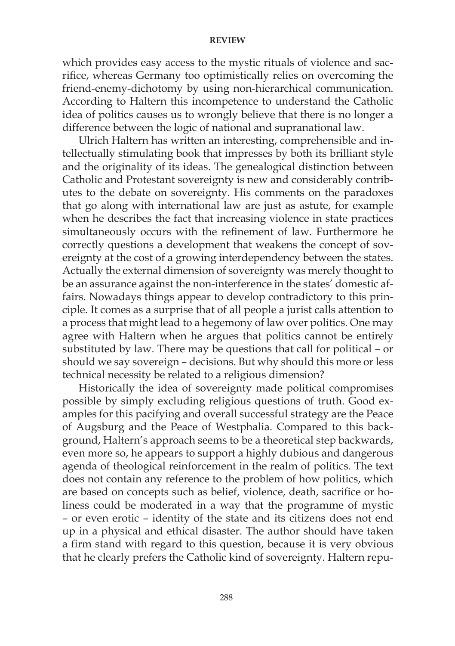## **REVIEW**

which provides easy access to the mystic rituals of violence and sacrifice, whereas Germany too optimistically relies on overcoming the friend-enemy-dichotomy by using non-hierarchical communication. According to Haltern this incompetence to understand the Catholic idea of politics causes us to wrongly believe that there is no longer a difference between the logic of national and supranational law.

Ulrich Haltern has written an interesting, comprehensible and intellectually stimulating book that impresses by both its brilliant style and the originality of its ideas. The genealogical distinction between Catholic and Protestant sovereignty is new and considerably contributes to the debate on sovereignty. His comments on the paradoxes that go along with international law are just as astute, for example when he describes the fact that increasing violence in state practices simultaneously occurs with the refinement of law. Furthermore he correctly questions a development that weakens the concept of sovereignty at the cost of a growing interdependency between the states. Actually the external dimension of sovereignty was merely thought to be an assurance against the non-interference in the states' domestic affairs. Nowadays things appear to develop contradictory to this principle. It comes as a surprise that of all people a jurist calls attention to a process that might lead to a hegemony of law over politics. One may agree with Haltern when he argues that politics cannot be entirely substituted by law. There may be questions that call for political – or should we say sovereign – decisions. But why should this more or less technical necessity be related to a religious dimension?

Historically the idea of sovereignty made political compromises possible by simply excluding religious questions of truth. Good examples for this pacifying and overall successful strategy are the Peace of Augsburg and the Peace of Westphalia. Compared to this background, Haltern's approach seems to be a theoretical step backwards, even more so, he appears to support a highly dubious and dangerous agenda of theological reinforcement in the realm of politics. The text does not contain any reference to the problem of how politics, which are based on concepts such as belief, violence, death, sacrifice or holiness could be moderated in a way that the programme of mystic – or even erotic – identity of the state and its citizens does not end up in a physical and ethical disaster. The author should have taken a firm stand with regard to this question, because it is very obvious that he clearly prefers the Catholic kind of sovereignty. Haltern repu-